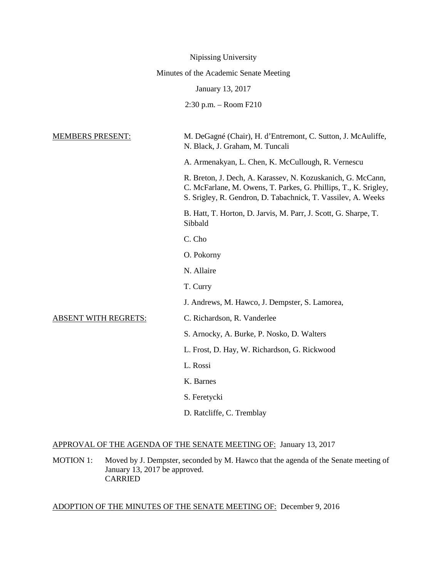|                                        | Nipissing University                                                                                                                                                                           |  |
|----------------------------------------|------------------------------------------------------------------------------------------------------------------------------------------------------------------------------------------------|--|
| Minutes of the Academic Senate Meeting |                                                                                                                                                                                                |  |
|                                        | January 13, 2017                                                                                                                                                                               |  |
|                                        | $2:30$ p.m. $-$ Room F210                                                                                                                                                                      |  |
|                                        |                                                                                                                                                                                                |  |
| <b>MEMBERS PRESENT:</b>                | M. DeGagné (Chair), H. d'Entremont, C. Sutton, J. McAuliffe,<br>N. Black, J. Graham, M. Tuncali                                                                                                |  |
|                                        | A. Armenakyan, L. Chen, K. McCullough, R. Vernescu                                                                                                                                             |  |
|                                        | R. Breton, J. Dech, A. Karassev, N. Kozuskanich, G. McCann,<br>C. McFarlane, M. Owens, T. Parkes, G. Phillips, T., K. Srigley,<br>S. Srigley, R. Gendron, D. Tabachnick, T. Vassilev, A. Weeks |  |
|                                        | B. Hatt, T. Horton, D. Jarvis, M. Parr, J. Scott, G. Sharpe, T.<br>Sibbald                                                                                                                     |  |
|                                        | C. Cho                                                                                                                                                                                         |  |
|                                        | O. Pokorny                                                                                                                                                                                     |  |
|                                        | N. Allaire                                                                                                                                                                                     |  |
|                                        | T. Curry                                                                                                                                                                                       |  |
|                                        | J. Andrews, M. Hawco, J. Dempster, S. Lamorea,                                                                                                                                                 |  |
| <b>ABSENT WITH REGRETS:</b>            | C. Richardson, R. Vanderlee                                                                                                                                                                    |  |
|                                        | S. Arnocky, A. Burke, P. Nosko, D. Walters                                                                                                                                                     |  |
|                                        | L. Frost, D. Hay, W. Richardson, G. Rickwood                                                                                                                                                   |  |
|                                        | L. Rossi                                                                                                                                                                                       |  |
|                                        | K. Barnes                                                                                                                                                                                      |  |
|                                        | S. Feretycki                                                                                                                                                                                   |  |
|                                        | D. Ratcliffe, C. Tremblay                                                                                                                                                                      |  |

# APPROVAL OF THE AGENDA OF THE SENATE MEETING OF: January 13, 2017

MOTION 1: Moved by J. Dempster, seconded by M. Hawco that the agenda of the Senate meeting of January 13, 2017 be approved. CARRIED

# ADOPTION OF THE MINUTES OF THE SENATE MEETING OF: December 9, 2016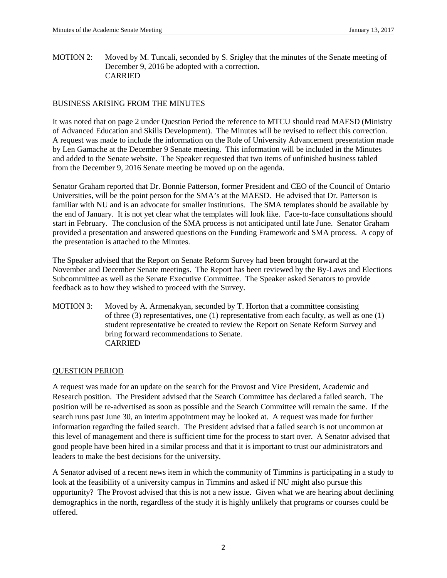MOTION 2: Moved by M. Tuncali, seconded by S. Srigley that the minutes of the Senate meeting of December 9, 2016 be adopted with a correction. CARRIED

# BUSINESS ARISING FROM THE MINUTES

It was noted that on page 2 under Question Period the reference to MTCU should read MAESD (Ministry of Advanced Education and Skills Development). The Minutes will be revised to reflect this correction. A request was made to include the information on the Role of University Advancement presentation made by Len Gamache at the December 9 Senate meeting. This information will be included in the Minutes and added to the Senate website. The Speaker requested that two items of unfinished business tabled from the December 9, 2016 Senate meeting be moved up on the agenda.

Senator Graham reported that Dr. Bonnie Patterson, former President and CEO of the Council of Ontario Universities, will be the point person for the SMA's at the MAESD. He advised that Dr. Patterson is familiar with NU and is an advocate for smaller institutions. The SMA templates should be available by the end of January. It is not yet clear what the templates will look like. Face-to-face consultations should start in February. The conclusion of the SMA process is not anticipated until late June. Senator Graham provided a presentation and answered questions on the Funding Framework and SMA process. A copy of the presentation is attached to the Minutes.

The Speaker advised that the Report on Senate Reform Survey had been brought forward at the November and December Senate meetings. The Report has been reviewed by the By-Laws and Elections Subcommittee as well as the Senate Executive Committee. The Speaker asked Senators to provide feedback as to how they wished to proceed with the Survey.

MOTION 3: Moved by A. Armenakyan, seconded by T. Horton that a committee consisting of three (3) representatives, one (1) representative from each faculty, as well as one (1) student representative be created to review the Report on Senate Reform Survey and bring forward recommendations to Senate. CARRIED

# QUESTION PERIOD

A request was made for an update on the search for the Provost and Vice President, Academic and Research position. The President advised that the Search Committee has declared a failed search. The position will be re-advertised as soon as possible and the Search Committee will remain the same. If the search runs past June 30, an interim appointment may be looked at. A request was made for further information regarding the failed search. The President advised that a failed search is not uncommon at this level of management and there is sufficient time for the process to start over. A Senator advised that good people have been hired in a similar process and that it is important to trust our administrators and leaders to make the best decisions for the university.

A Senator advised of a recent news item in which the community of Timmins is participating in a study to look at the feasibility of a university campus in Timmins and asked if NU might also pursue this opportunity? The Provost advised that this is not a new issue. Given what we are hearing about declining demographics in the north, regardless of the study it is highly unlikely that programs or courses could be offered.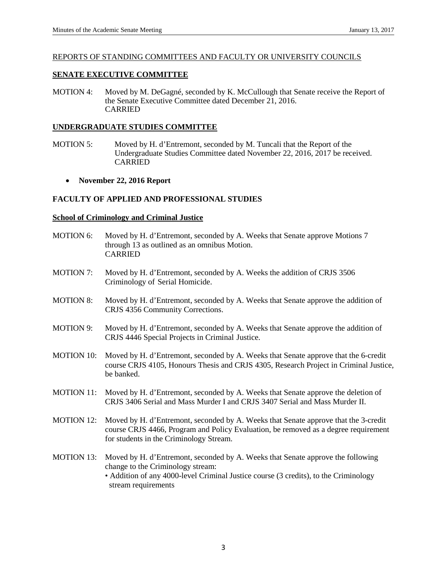### REPORTS OF STANDING COMMITTEES AND FACULTY OR UNIVERSITY COUNCILS

# **SENATE EXECUTIVE COMMITTEE**

MOTION 4: Moved by M. DeGagné, seconded by K. McCullough that Senate receive the Report of the Senate Executive Committee dated December 21, 2016. CARRIED

### **UNDERGRADUATE STUDIES COMMITTEE**

- MOTION 5: Moved by H. d'Entremont, seconded by M. Tuncali that the Report of the Undergraduate Studies Committee dated November 22, 2016, 2017 be received. CARRIED
	- **November 22, 2016 Report**

# **FACULTY OF APPLIED AND PROFESSIONAL STUDIES**

### **School of Criminology and Criminal Justice**

- MOTION 6: Moved by H. d'Entremont, seconded by A. Weeks that Senate approve Motions 7 through 13 as outlined as an omnibus Motion. CARRIED
- MOTION 7: Moved by H. d'Entremont, seconded by A. Weeks the addition of CRJS 3506 Criminology of Serial Homicide.
- MOTION 8: Moved by H. d'Entremont, seconded by A. Weeks that Senate approve the addition of CRJS 4356 Community Corrections.
- MOTION 9: Moved by H. d'Entremont, seconded by A. Weeks that Senate approve the addition of CRJS 4446 Special Projects in Criminal Justice.
- MOTION 10: Moved by H. d'Entremont, seconded by A. Weeks that Senate approve that the 6-credit course CRJS 4105, Honours Thesis and CRJS 4305, Research Project in Criminal Justice, be banked.
- MOTION 11: Moved by H. d'Entremont, seconded by A. Weeks that Senate approve the deletion of CRJS 3406 Serial and Mass Murder I and CRJS 3407 Serial and Mass Murder II.
- MOTION 12: Moved by H. d'Entremont, seconded by A. Weeks that Senate approve that the 3-credit course CRJS 4466, Program and Policy Evaluation, be removed as a degree requirement for students in the Criminology Stream.
- MOTION 13: Moved by H. d'Entremont, seconded by A. Weeks that Senate approve the following change to the Criminology stream: • Addition of any 4000-level Criminal Justice course (3 credits), to the Criminology stream requirements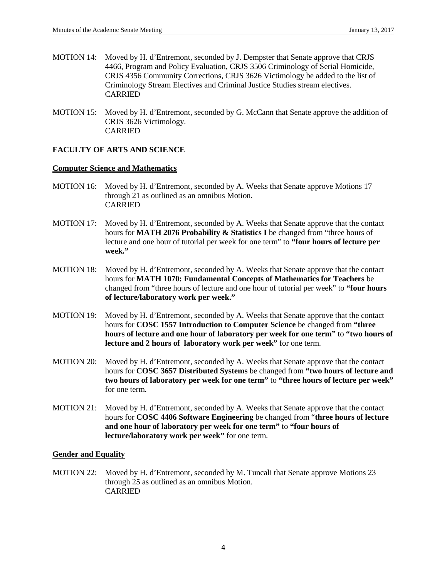- MOTION 14: Moved by H. d'Entremont, seconded by J. Dempster that Senate approve that CRJS 4466, Program and Policy Evaluation, CRJS 3506 Criminology of Serial Homicide, CRJS 4356 Community Corrections, CRJS 3626 Victimology be added to the list of Criminology Stream Electives and Criminal Justice Studies stream electives. CARRIED
- MOTION 15: Moved by H. d'Entremont, seconded by G. McCann that Senate approve the addition of CRJS 3626 Victimology. CARRIED

# **FACULTY OF ARTS AND SCIENCE**

### **Computer Science and Mathematics**

- MOTION 16: Moved by H. d'Entremont, seconded by A. Weeks that Senate approve Motions 17 through 21 as outlined as an omnibus Motion. CARRIED
- MOTION 17: Moved by H. d'Entremont, seconded by A. Weeks that Senate approve that the contact hours for **MATH 2076 Probability & Statistics I** be changed from "three hours of lecture and one hour of tutorial per week for one term" to **"four hours of lecture per week."**
- MOTION 18: Moved by H. d'Entremont, seconded by A. Weeks that Senate approve that the contact hours for **MATH 1070: Fundamental Concepts of Mathematics for Teachers** be changed from "three hours of lecture and one hour of tutorial per week" to **"four hours of lecture/laboratory work per week."**
- MOTION 19: Moved by H. d'Entremont, seconded by A. Weeks that Senate approve that the contact hours for **COSC 1557 Introduction to Computer Science** be changed from **"three hours of lecture and one hour of laboratory per week for one term"** to **"two hours of lecture and 2 hours of laboratory work per week"** for one term.
- MOTION 20: Moved by H. d'Entremont, seconded by A. Weeks that Senate approve that the contact hours for **COSC 3657 Distributed Systems** be changed from **"two hours of lecture and two hours of laboratory per week for one term"** to **"three hours of lecture per week"**  for one term.
- MOTION 21: Moved by H. d'Entremont, seconded by A. Weeks that Senate approve that the contact hours for **COSC 4406 Software Engineering** be changed from "**three hours of lecture and one hour of laboratory per week for one term"** to **"four hours of lecture/laboratory work per week"** for one term.

### **Gender and Equality**

MOTION 22: Moved by H. d'Entremont, seconded by M. Tuncali that Senate approve Motions 23 through 25 as outlined as an omnibus Motion. CARRIED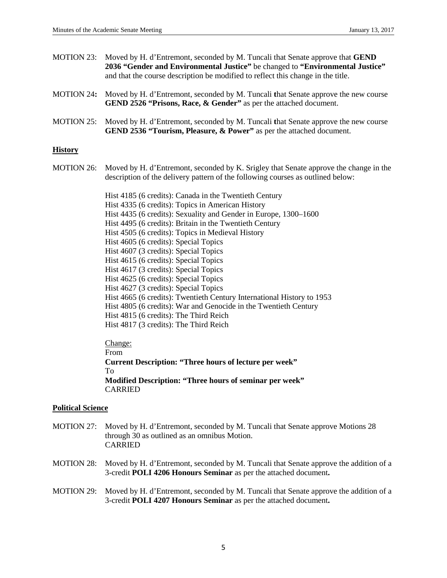| MOTION 23: Moved by H. d'Entremont, seconded by M. Tuncali that Senate approve that GEND |  |  |
|------------------------------------------------------------------------------------------|--|--|
| 2036 "Gender and Environmental Justice" be changed to "Environmental Justice"            |  |  |
| and that the course description be modified to reflect this change in the title.         |  |  |

- MOTION 24**:** Moved by H. d'Entremont, seconded by M. Tuncali **t**hat Senate approve the new course **GEND 2526 "Prisons, Race, & Gender"** as per the attached document.
- MOTION 25: Moved by H. d'Entremont, seconded by M. Tuncali **t**hat Senate approve the new course **GEND 2536 "Tourism, Pleasure, & Power"** as per the attached document.

### **History**

MOTION 26: Moved by H. d'Entremont, seconded by K. Srigley that Senate approve the change in the description of the delivery pattern of the following courses as outlined below:

> Hist 4185 (6 credits): Canada in the Twentieth Century Hist 4335 (6 credits): Topics in American History Hist 4435 (6 credits): Sexuality and Gender in Europe, 1300–1600 Hist 4495 (6 credits): Britain in the Twentieth Century Hist 4505 (6 credits): Topics in Medieval History Hist 4605 (6 credits): Special Topics Hist 4607 (3 credits): Special Topics Hist 4615 (6 credits): Special Topics Hist 4617 (3 credits): Special Topics Hist 4625 (6 credits): Special Topics Hist 4627 (3 credits): Special Topics Hist 4665 (6 credits): Twentieth Century International History to 1953 Hist 4805 (6 credits): War and Genocide in the Twentieth Century Hist 4815 (6 credits): The Third Reich Hist 4817 (3 credits): The Third Reich

### Change:

From

**Current Description: "Three hours of lecture per week"** To **Modified Description: "Three hours of seminar per week"** CARRIED

# **Political Science**

- MOTION 27: Moved by H. d'Entremont, seconded by M. Tuncali that Senate approve Motions 28 through 30 as outlined as an omnibus Motion. CARRIED
- MOTION 28: Moved by H. d'Entremont, seconded by M. Tuncali that Senate approve the addition of a 3-credit **POLI 4206 Honours Seminar** as per the attached document**.**
- MOTION 29: Moved by H. d'Entremont, seconded by M. Tuncali that Senate approve the addition of a 3-credit **POLI 4207 Honours Seminar** as per the attached document**.**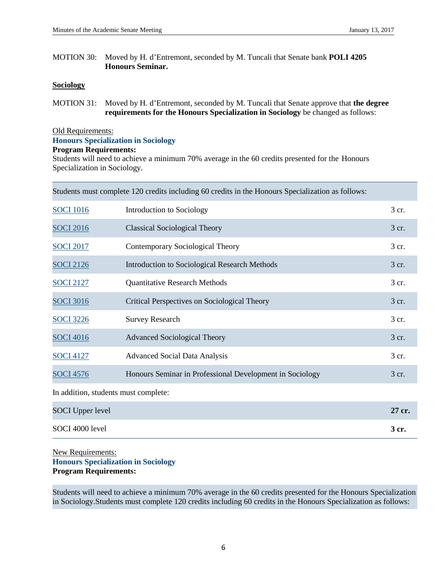MOTION 30: Moved by H. d'Entremont, seconded by M. Tuncali that Senate bank **POLI 4205 Honours Seminar.**

# **Sociology**

MOTION 31: Moved by H. d'Entremont, seconded by M. Tuncali that Senate approve that **the degree requirements for the Honours Specialization in Sociology** be changed as follows:

### Old Requirements:

### **Honours Specialization in Sociology**

### **Program Requirements:**

Students will need to achieve a minimum 70% average in the 60 credits presented for the Honours Specialization in Sociology.

| Students must complete 120 credits including 60 credits in the Honours Specialization as follows: |                                                          |        |  |
|---------------------------------------------------------------------------------------------------|----------------------------------------------------------|--------|--|
| <b>SOCI 1016</b>                                                                                  | Introduction to Sociology                                | 3 cr.  |  |
| <b>SOCI 2016</b>                                                                                  | <b>Classical Sociological Theory</b>                     | 3 cr.  |  |
| <b>SOCI 2017</b>                                                                                  | Contemporary Sociological Theory                         | 3 cr.  |  |
| <b>SOCI 2126</b>                                                                                  | <b>Introduction to Sociological Research Methods</b>     | 3 cr.  |  |
| <b>SOCI 2127</b>                                                                                  | <b>Quantitative Research Methods</b>                     | 3 cr.  |  |
| <b>SOCI 3016</b>                                                                                  | Critical Perspectives on Sociological Theory             | 3 cr.  |  |
| <b>SOCI 3226</b>                                                                                  | <b>Survey Research</b>                                   | 3 cr.  |  |
| <b>SOCI 4016</b>                                                                                  | <b>Advanced Sociological Theory</b>                      | 3 cr.  |  |
| <b>SOCI 4127</b>                                                                                  | <b>Advanced Social Data Analysis</b>                     | 3 cr.  |  |
| <b>SOCI 4576</b>                                                                                  | Honours Seminar in Professional Development in Sociology | 3 cr.  |  |
| In addition, students must complete:                                                              |                                                          |        |  |
| <b>SOCI</b> Upper level                                                                           |                                                          | 27 cr. |  |
| SOCI 4000 level                                                                                   |                                                          | 3 cr.  |  |

New Requirements: **Honours Specialization in Sociology Program Requirements:**

Students will need to achieve a minimum 70% average in the 60 credits presented for the Honours Specialization in Sociology.Students must complete 120 credits including 60 credits in the Honours Specialization as follows: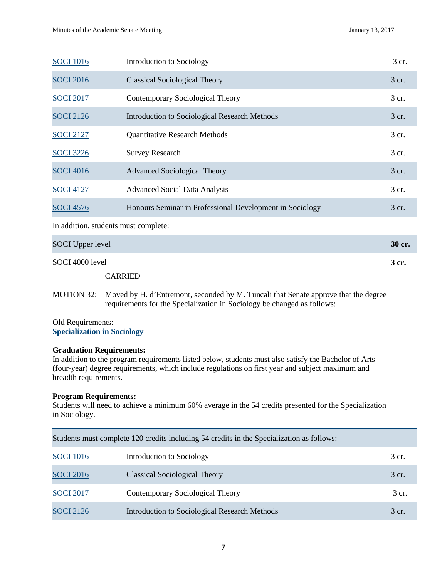| <b>SOCI 1016</b>                     | Introduction to Sociology                                | 3 cr.  |
|--------------------------------------|----------------------------------------------------------|--------|
| <b>SOCI 2016</b>                     | <b>Classical Sociological Theory</b>                     | 3 cr.  |
| <b>SOCI 2017</b>                     | Contemporary Sociological Theory                         | 3 cr.  |
| <b>SOCI 2126</b>                     | Introduction to Sociological Research Methods            | 3 cr.  |
| <b>SOCI 2127</b>                     | <b>Quantitative Research Methods</b>                     | 3 cr.  |
| <b>SOCI</b> 3226                     | <b>Survey Research</b>                                   | 3 cr.  |
| <b>SOCI 4016</b>                     | <b>Advanced Sociological Theory</b>                      | 3 cr.  |
| <b>SOCI 4127</b>                     | <b>Advanced Social Data Analysis</b>                     | 3 cr.  |
| <b>SOCI 4576</b>                     | Honours Seminar in Professional Development in Sociology | 3 cr.  |
| In addition, students must complete: |                                                          |        |
| <b>SOCI</b> Upper level              |                                                          | 30 cr. |
| SOCI 4000 level                      |                                                          | 3 cr.  |
|                                      | <b>CARRIED</b>                                           |        |

MOTION 32: Moved by H. d'Entremont, seconded by M. Tuncali that Senate approve that the degree requirements for the Specialization in Sociology be changed as follows:

# Old Requirements: **Specialization in Sociology**

### **Graduation Requirements:**

In addition to the program requirements listed below, students must also satisfy the Bachelor of Arts (four-year) degree requirements, which include regulations on first year and subject maximum and breadth requirements.

# **Program Requirements:**

Students will need to achieve a minimum 60% average in the 54 credits presented for the Specialization in Sociology.

|                  | Students must complete 120 credits including 54 credits in the Specialization as follows: |       |
|------------------|-------------------------------------------------------------------------------------------|-------|
| <b>SOCI</b> 1016 | Introduction to Sociology                                                                 | 3 cr. |
| <b>SOCI 2016</b> | Classical Sociological Theory                                                             | 3 cr. |
| <b>SOCI 2017</b> | Contemporary Sociological Theory                                                          | 3 cr. |
| <b>SOCI 2126</b> | Introduction to Sociological Research Methods                                             | 3 cr. |

7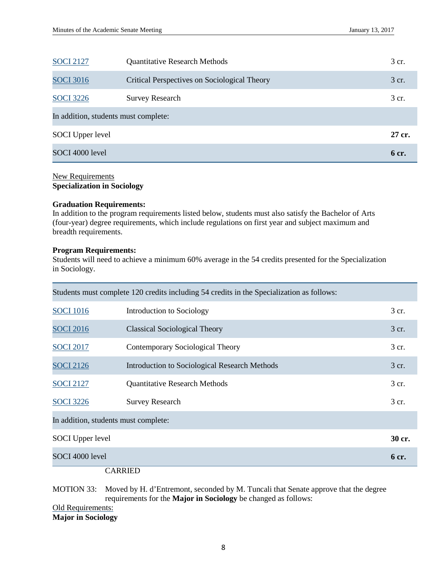| <b>SOCI 2127</b>                     | <b>Quantitative Research Methods</b>         | 3 cr.  |
|--------------------------------------|----------------------------------------------|--------|
| <b>SOCI 3016</b>                     | Critical Perspectives on Sociological Theory | 3 cr.  |
| <b>SOCI</b> 3226                     | <b>Survey Research</b>                       | 3 cr.  |
| In addition, students must complete: |                                              |        |
| <b>SOCI</b> Upper level              |                                              | 27 cr. |
| SOCI 4000 level                      |                                              | 6 cr.  |

# New Requirements **Specialization in Sociology**

### **Graduation Requirements:**

In addition to the program requirements listed below, students must also satisfy the Bachelor of Arts (four-year) degree requirements, which include regulations on first year and subject maximum and breadth requirements.

### **Program Requirements:**

Students will need to achieve a minimum 60% average in the 54 credits presented for the Specialization in Sociology.

| Students must complete 120 credits including 54 credits in the Specialization as follows: |                                               |        |  |
|-------------------------------------------------------------------------------------------|-----------------------------------------------|--------|--|
| <b>SOCI 1016</b>                                                                          | Introduction to Sociology                     | 3 cr.  |  |
| <b>SOCI 2016</b>                                                                          | <b>Classical Sociological Theory</b>          | 3 cr.  |  |
| <b>SOCI 2017</b>                                                                          | Contemporary Sociological Theory              | 3 cr.  |  |
| <b>SOCI 2126</b>                                                                          | Introduction to Sociological Research Methods | 3 cr.  |  |
| <b>SOCI 2127</b>                                                                          | <b>Quantitative Research Methods</b>          | 3 cr.  |  |
| <b>SOCI</b> 3226                                                                          | <b>Survey Research</b>                        | 3 cr.  |  |
| In addition, students must complete:                                                      |                                               |        |  |
| <b>SOCI</b> Upper level                                                                   |                                               | 30 cr. |  |
| SOCI 4000 level                                                                           |                                               | 6 cr.  |  |

CARRIED

MOTION 33: Moved by H. d'Entremont, seconded by M. Tuncali that Senate approve that the degree requirements for the **Major in Sociology** be changed as follows:

Old Requirements: **Major in Sociology**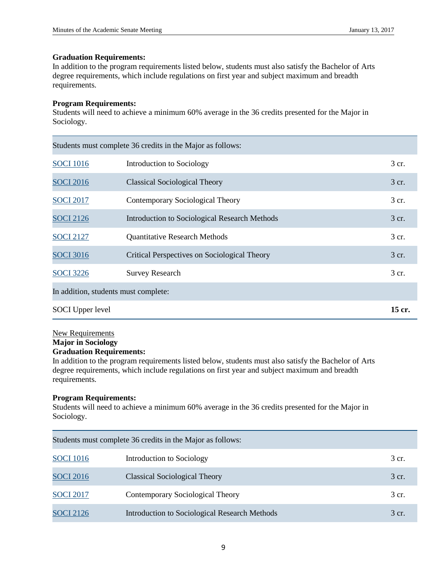### **Graduation Requirements:**

In addition to the program requirements listed below, students must also satisfy the Bachelor of Arts degree requirements, which include regulations on first year and subject maximum and breadth requirements.

### **Program Requirements:**

Students will need to achieve a minimum 60% average in the 36 credits presented for the Major in Sociology.

| Students must complete 36 credits in the Major as follows: |                                               |        |  |
|------------------------------------------------------------|-----------------------------------------------|--------|--|
| <b>SOCI 1016</b>                                           | Introduction to Sociology                     | 3 cr.  |  |
| <b>SOCI 2016</b>                                           | <b>Classical Sociological Theory</b>          | 3 cr.  |  |
| <b>SOCI 2017</b>                                           | Contemporary Sociological Theory              | 3 cr.  |  |
| <b>SOCI 2126</b>                                           | Introduction to Sociological Research Methods | 3 cr.  |  |
| <b>SOCI 2127</b>                                           | <b>Quantitative Research Methods</b>          | 3 cr.  |  |
| <b>SOCI 3016</b>                                           | Critical Perspectives on Sociological Theory  | 3 cr.  |  |
| <b>SOCI</b> 3226                                           | <b>Survey Research</b>                        | 3 cr.  |  |
| In addition, students must complete:                       |                                               |        |  |
| <b>SOCI</b> Upper level                                    |                                               | 15 cr. |  |

### New Requirements

# **Major in Sociology**

# **Graduation Requirements:**

In addition to the program requirements listed below, students must also satisfy the Bachelor of Arts degree requirements, which include regulations on first year and subject maximum and breadth requirements.

### **Program Requirements:**

Students will need to achieve a minimum 60% average in the 36 credits presented for the Major in Sociology.

|                  | Students must complete 36 credits in the Major as follows: |       |
|------------------|------------------------------------------------------------|-------|
| <b>SOCI</b> 1016 | Introduction to Sociology                                  | 3 cr. |
| <b>SOCI 2016</b> | <b>Classical Sociological Theory</b>                       | 3 cr. |
| <b>SOCI 2017</b> | Contemporary Sociological Theory                           | 3 cr. |
| <b>SOCI 2126</b> | <b>Introduction to Sociological Research Methods</b>       | 3 cr. |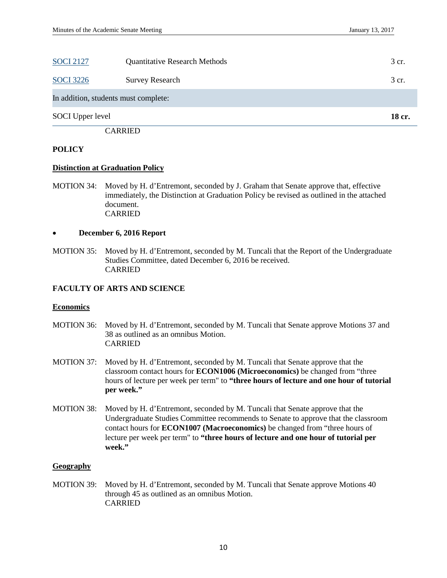|                         | <b>CARRIED</b>                       |        |
|-------------------------|--------------------------------------|--------|
| <b>SOCI</b> Upper level |                                      | 18 cr. |
|                         | In addition, students must complete: |        |
| <b>SOCI</b> 3226        | <b>Survey Research</b>               | 3 cr.  |
| <b>SOCI 2127</b>        | <b>Quantitative Research Methods</b> | 3 cr.  |

### **POLICY**

#### **Distinction at Graduation Policy**

MOTION 34: Moved by H. d'Entremont, seconded by J. Graham that Senate approve that, effective immediately, the Distinction at Graduation Policy be revised as outlined in the attached document. CARRIED

#### • **December 6, 2016 Report**

MOTION 35: Moved by H. d'Entremont, seconded by M. Tuncali that the Report of the Undergraduate Studies Committee, dated December 6, 2016 be received. CARRIED

## **FACULTY OF ARTS AND SCIENCE**

#### **Economics**

- MOTION 36: Moved by H. d'Entremont, seconded by M. Tuncali that Senate approve Motions 37 and 38 as outlined as an omnibus Motion. CARRIED
- MOTION 37: Moved by H. d'Entremont, seconded by M. Tuncali that Senate approve that the classroom contact hours for **ECON1006 (Microeconomics)** be changed from "three hours of lecture per week per term" to **"three hours of lecture and one hour of tutorial per week."**
- MOTION 38: Moved by H. d'Entremont, seconded by M. Tuncali that Senate approve that the Undergraduate Studies Committee recommends to Senate to approve that the classroom contact hours for **ECON1007 (Macroeconomics)** be changed from "three hours of lecture per week per term" to **"three hours of lecture and one hour of tutorial per week."**

### **Geography**

MOTION 39: Moved by H. d'Entremont, seconded by M. Tuncali that Senate approve Motions 40 through 45 as outlined as an omnibus Motion. CARRIED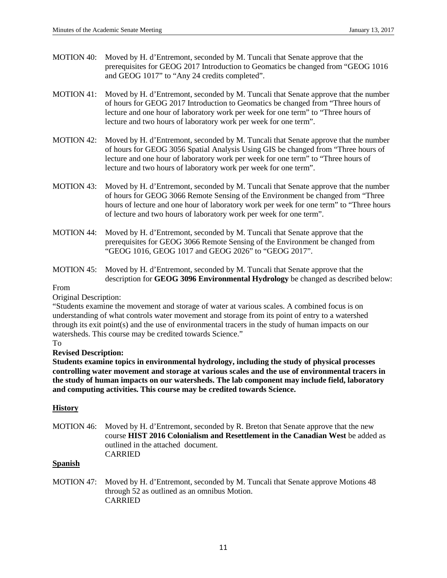- MOTION 40: Moved by H. d'Entremont, seconded by M. Tuncali that Senate approve that the prerequisites for GEOG 2017 Introduction to Geomatics be changed from "GEOG 1016 and GEOG 1017" to "Any 24 credits completed".
- MOTION 41: Moved by H. d'Entremont, seconded by M. Tuncali that Senate approve that the number of hours for GEOG 2017 Introduction to Geomatics be changed from "Three hours of lecture and one hour of laboratory work per week for one term" to "Three hours of lecture and two hours of laboratory work per week for one term".
- MOTION 42: Moved by H. d'Entremont, seconded by M. Tuncali that Senate approve that the number of hours for GEOG 3056 Spatial Analysis Using GIS be changed from "Three hours of lecture and one hour of laboratory work per week for one term" to "Three hours of lecture and two hours of laboratory work per week for one term".
- MOTION 43: Moved by H. d'Entremont, seconded by M. Tuncali that Senate approve that the number of hours for GEOG 3066 Remote Sensing of the Environment be changed from "Three hours of lecture and one hour of laboratory work per week for one term" to "Three hours of lecture and two hours of laboratory work per week for one term".
- MOTION 44: Moved by H. d'Entremont, seconded by M. Tuncali that Senate approve that the prerequisites for GEOG 3066 Remote Sensing of the Environment be changed from "GEOG 1016, GEOG 1017 and GEOG 2026" to "GEOG 2017".
- MOTION 45: Moved by H. d'Entremont, seconded by M. Tuncali that Senate approve that the description for **GEOG 3096 Environmental Hydrology** be changed as described below:

### From

### Original Description:

"Students examine the movement and storage of water at various scales. A combined focus is on understanding of what controls water movement and storage from its point of entry to a watershed through its exit point(s) and the use of environmental tracers in the study of human impacts on our watersheds. This course may be credited towards Science."

### To

# **Revised Description:**

**Students examine topics in environmental hydrology, including the study of physical processes controlling water movement and storage at various scales and the use of environmental tracers in the study of human impacts on our watersheds. The lab component may include field, laboratory and computing activities. This course may be credited towards Science.**

# **History**

MOTION 46: Moved by H. d'Entremont, seconded by R. Breton that Senate approve that the new course **HIST 2016 Colonialism and Resettlement in the Canadian West** be added as outlined in the attached document. CARRIED

### **Spanish**

MOTION 47: Moved by H. d'Entremont, seconded by M. Tuncali that Senate approve Motions 48 through 52 as outlined as an omnibus Motion. CARRIED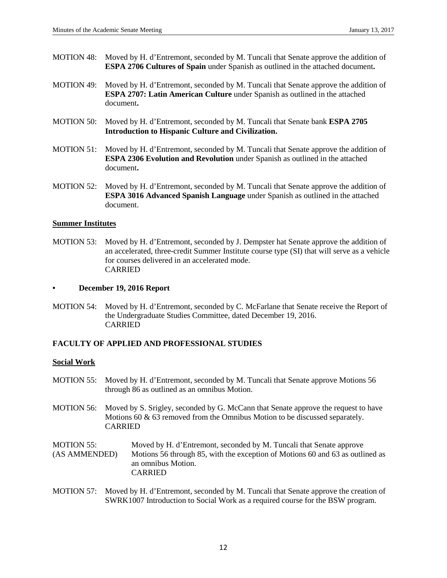- MOTION 48: Moved by H. d'Entremont, seconded by M. Tuncali that Senate approve the addition of **ESPA 2706 Cultures of Spain** under Spanish as outlined in the attached document**.**
- MOTION 49: Moved by H. d'Entremont, seconded by M. Tuncali that Senate approve the addition of **ESPA 2707: Latin American Culture** under Spanish as outlined in the attached document**.**
- MOTION 50: Moved by H. d'Entremont, seconded by M. Tuncali that Senate bank **ESPA 2705 Introduction to Hispanic Culture and Civilization.**
- MOTION 51: Moved by H. d'Entremont, seconded by M. Tuncali that Senate approve the addition of **ESPA 2306 Evolution and Revolution** under Spanish as outlined in the attached document**.**
- MOTION 52: Moved by H. d'Entremont, seconded by M. Tuncali that Senate approve the addition of **ESPA 3016 Advanced Spanish Language** under Spanish as outlined in the attached document.

### **Summer Institutes**

MOTION 53: Moved by H. d'Entremont, seconded by J. Dempster hat Senate approve the addition of an accelerated, three-credit Summer Institute course type (SI) that will serve as a vehicle for courses delivered in an accelerated mode. CARRIED

### **• December 19, 2016 Report**

MOTION 54: Moved by H. d'Entremont, seconded by C. McFarlane that Senate receive the Report of the Undergraduate Studies Committee, dated December 19, 2016. CARRIED

# **FACULTY OF APPLIED AND PROFESSIONAL STUDIES**

### **Social Work**

- MOTION 55: Moved by H. d'Entremont, seconded by M. Tuncali that Senate approve Motions 56 through 86 as outlined as an omnibus Motion.
- MOTION 56: Moved by S. Srigley, seconded by G. McCann that Senate approve the request to have Motions 60 & 63 removed from the Omnibus Motion to be discussed separately. CARRIED
- MOTION 55: Moved by H. d'Entremont, seconded by M. Tuncali that Senate approve (AS AMMENDED) Motions 56 through 85, with the exception of Motions 60 and 63 as outlined as an omnibus Motion. CARRIED
- MOTION 57: Moved by H. d'Entremont, seconded by M. Tuncali that Senate approve the creation of SWRK1007 Introduction to Social Work as a required course for the BSW program.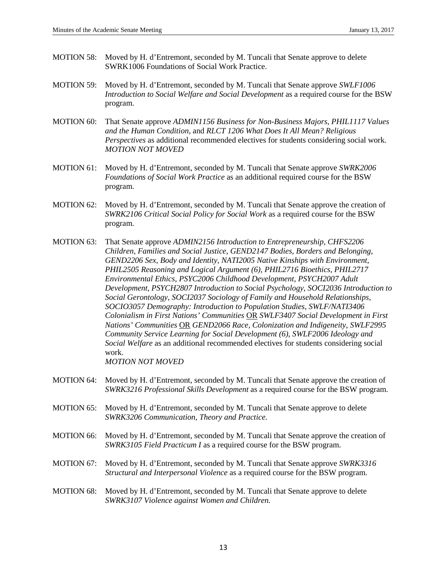- MOTION 58: Moved by H. d'Entremont, seconded by M. Tuncali that Senate approve to delete SWRK1006 Foundations of Social Work Practice.
- MOTION 59: Moved by H. d'Entremont, seconded by M. Tuncali that Senate approve *SWLF1006 Introduction to Social Welfare and Social Development* as a required course for the BSW program.
- MOTION 60: That Senate approve *ADMIN1156 Business for Non-Business Majors*, *PHIL1117 Values and the Human Condition*, and *RLCT 1206 What Does It All Mean? Religious Perspectives* as additional recommended electives for students considering social work. *MOTION NOT MOVED*
- MOTION 61: Moved by H. d'Entremont, seconded by M. Tuncali that Senate approve *SWRK2006 Foundations of Social Work Practice* as an additional required course for the BSW program.
- MOTION 62: Moved by H. d'Entremont, seconded by M. Tuncali that Senate approve the creation of *SWRK2106 Critical Social Policy for Social Work* as a required course for the BSW program.
- MOTION 63: That Senate approve *ADMIN2156 Introduction to Entrepreneurship*, *CHFS2206 Children, Families and Social Justice*, *GEND2147 Bodies, Borders and Belonging*, *GEND2206 Sex, Body and Identity*, *NATI2005 Native Kinships with Environment*, *PHIL2505 Reasoning and Logical Argument (6), PHIL2716 Bioethics, PHIL2717 Environmental Ethics, PSYC2006 Childhood Development, PSYCH2007 Adult Development, PSYCH2807 Introduction to Social Psychology*, *SOCI2036 Introduction to Social Gerontology*, *SOCI2037 Sociology of Family and Household Relationships*, *SOCIO3057 Demography: Introduction to Population Studies*, *SWLF/NATI3406 Colonialism in First Nations' Communities* OR *SWLF3407 Social Development in First Nations' Communities* OR *GEND2066 Race, Colonization and Indigeneity*, *SWLF2995 Community Service Learning for Social Development (6)*, *SWLF2006 Ideology and Social Welfare* as an additional recommended electives for students considering social work. *MOTION NOT MOVED*
- MOTION 64: Moved by H. d'Entremont, seconded by M. Tuncali that Senate approve the creation of *SWRK3216 Professional Skills Development* as a required course for the BSW program.
- MOTION 65: Moved by H. d'Entremont, seconded by M. Tuncali that Senate approve to delete *SWRK3206 Communication, Theory and Practice.*
- MOTION 66: Moved by H. d'Entremont, seconded by M. Tuncali that Senate approve the creation of *SWRK3105 Field Practicum I* as a required course for the BSW program.
- MOTION 67: Moved by H. d'Entremont, seconded by M. Tuncali that Senate approve *SWRK3316 Structural and Interpersonal Violence* as a required course for the BSW program.
- MOTION 68: Moved by H. d'Entremont, seconded by M. Tuncali that Senate approve to delete *SWRK3107 Violence against Women and Children.*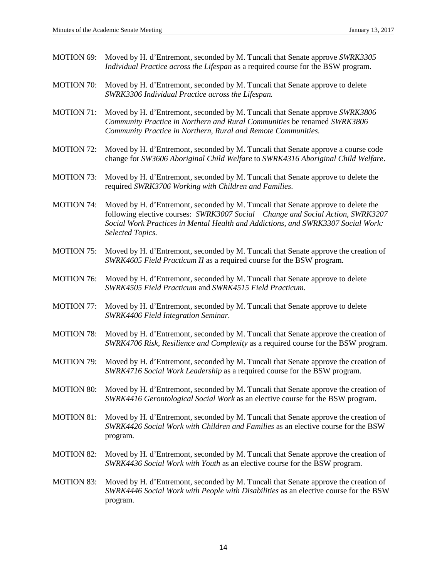- MOTION 69: Moved by H. d'Entremont, seconded by M. Tuncali that Senate approve *SWRK3305 Individual Practice across the Lifespan* as a required course for the BSW program.
- MOTION 70: Moved by H. d'Entremont, seconded by M. Tuncali that Senate approve to delete *SWRK3306 Individual Practice across the Lifespan.*
- MOTION 71: Moved by H. d'Entremont, seconded by M. Tuncali that Senate approve *SWRK3806 Community Practice in Northern and Rural Communities* be renamed *SWRK3806 Community Practice in Northern, Rural and Remote Communities.*
- MOTION 72: Moved by H. d'Entremont, seconded by M. Tuncali that Senate approve a course code change for *SW3606 Aboriginal Child Welfare* to *SWRK4316 Aboriginal Child Welfare*.
- MOTION 73: Moved by H. d'Entremont, seconded by M. Tuncali that Senate approve to delete the required *SWRK3706 Working with Children and Families*.
- MOTION 74: Moved by H. d'Entremont, seconded by M. Tuncali that Senate approve to delete the following elective courses: *SWRK3007 Social Change and Social Action, SWRK3207 Social Work Practices in Mental Health and Addictions, and SWRK3307 Social Work: Selected Topics.*
- MOTION 75: Moved by H. d'Entremont, seconded by M. Tuncali that Senate approve the creation of *SWRK4605 Field Practicum II* as a required course for the BSW program.
- MOTION 76: Moved by H. d'Entremont, seconded by M. Tuncali that Senate approve to delete *SWRK4505 Field Practicum* and *SWRK4515 Field Practicum.*
- MOTION 77: Moved by H. d'Entremont, seconded by M. Tuncali that Senate approve to delete *SWRK4406 Field Integration Seminar.*
- MOTION 78: Moved by H. d'Entremont, seconded by M. Tuncali that Senate approve the creation of *SWRK4706 Risk, Resilience and Complexity* as a required course for the BSW program.
- MOTION 79: Moved by H. d'Entremont, seconded by M. Tuncali that Senate approve the creation of *SWRK4716 Social Work Leadership* as a required course for the BSW program.
- MOTION 80: Moved by H. d'Entremont, seconded by M. Tuncali that Senate approve the creation of *SWRK4416 Gerontological Social Work* as an elective course for the BSW program.
- MOTION 81: Moved by H. d'Entremont, seconded by M. Tuncali that Senate approve the creation of *SWRK4426 Social Work with Children and Families* as an elective course for the BSW program.
- MOTION 82: Moved by H. d'Entremont, seconded by M. Tuncali that Senate approve the creation of *SWRK4436 Social Work with Youth* as an elective course for the BSW program.
- MOTION 83: Moved by H. d'Entremont, seconded by M. Tuncali that Senate approve the creation of *SWRK4446 Social Work with People with Disabilities* as an elective course for the BSW program.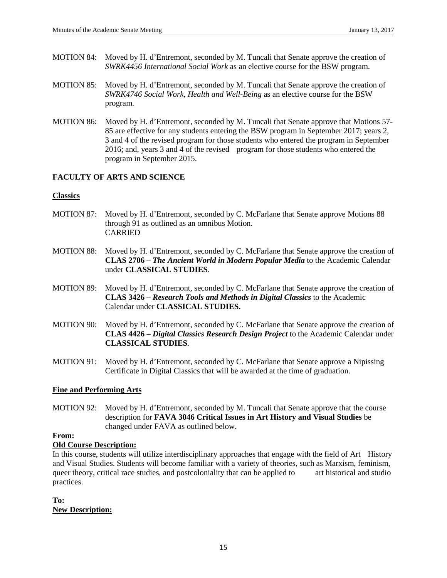- MOTION 84: Moved by H. d'Entremont, seconded by M. Tuncali that Senate approve the creation of *SWRK4456 International Social Work* as an elective course for the BSW program.
- MOTION 85: Moved by H. d'Entremont, seconded by M. Tuncali that Senate approve the creation of *SWRK4746 Social Work, Health and Well-Being* as an elective course for the BSW program.
- MOTION 86: Moved by H. d'Entremont, seconded by M. Tuncali that Senate approve that Motions 57- 85 are effective for any students entering the BSW program in September 2017; years 2, 3 and 4 of the revised program for those students who entered the program in September 2016; and, years 3 and 4 of the revised program for those students who entered the program in September 2015.

# **FACULTY OF ARTS AND SCIENCE**

# **Classics**

- MOTION 87: Moved by H. d'Entremont, seconded by C. McFarlane that Senate approve Motions 88 through 91 as outlined as an omnibus Motion. CARRIED
- MOTION 88: Moved by H. d'Entremont, seconded by C. McFarlane that Senate approve the creation of **CLAS 2706 –** *The Ancient World in Modern Popular Media* to the Academic Calendar under **CLASSICAL STUDIES**.
- MOTION 89: Moved by H. d'Entremont, seconded by C. McFarlane that Senate approve the creation of **CLAS 3426 –** *Research Tools and Methods in Digital Classics* to the Academic Calendar under **CLASSICAL STUDIES.**
- MOTION 90: Moved by H. d'Entremont, seconded by C. McFarlane that Senate approve the creation of **CLAS 4426 –** *Digital Classics Research Design Project* to the Academic Calendar under **CLASSICAL STUDIES**.
- MOTION 91: Moved by H. d'Entremont, seconded by C. McFarlane that Senate approve a Nipissing Certificate in Digital Classics that will be awarded at the time of graduation.

# **Fine and Performing Arts**

MOTION 92: Moved by H. d'Entremont, seconded by M. Tuncali that Senate approve that the course description for **FAVA 3046 Critical Issues in Art History and Visual Studies** be changed under FAVA as outlined below.

# **From:**

# **Old Course Description:**

In this course, students will utilize interdisciplinary approaches that engage with the field of Art History and Visual Studies. Students will become familiar with a variety of theories, such as Marxism, feminism, queer theory, critical race studies, and postcoloniality that can be applied to art historical and studio practices.

**To: New Description:**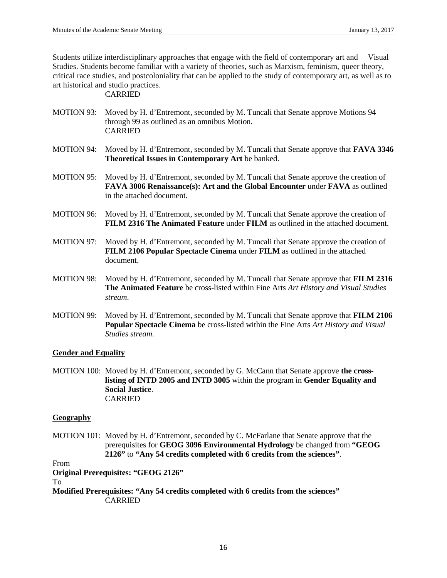Students utilize interdisciplinary approaches that engage with the field of contemporary art and Visual Studies. Students become familiar with a variety of theories, such as Marxism, feminism, queer theory, critical race studies, and postcoloniality that can be applied to the study of contemporary art, as well as to art historical and studio practices.

# CARRIED

- MOTION 93: Moved by H. d'Entremont, seconded by M. Tuncali that Senate approve Motions 94 through 99 as outlined as an omnibus Motion. CARRIED
- MOTION 94: Moved by H. d'Entremont, seconded by M. Tuncali that Senate approve that **FAVA 3346 Theoretical Issues in Contemporary Art** be banked.
- MOTION 95: Moved by H. d'Entremont, seconded by M. Tuncali that Senate approve the creation of **FAVA 3006 Renaissance(s): Art and the Global Encounter** under **FAVA** as outlined in the attached document.
- MOTION 96: Moved by H. d'Entremont, seconded by M. Tuncali that Senate approve the creation of **FILM 2316 The Animated Feature** under **FILM** as outlined in the attached document.
- MOTION 97: Moved by H. d'Entremont, seconded by M. Tuncali that Senate approve the creation of **FILM 2106 Popular Spectacle Cinema** under **FILM** as outlined in the attached document.
- MOTION 98: Moved by H. d'Entremont, seconded by M. Tuncali that Senate approve that **FILM 2316 The Animated Feature** be cross-listed within Fine Arts *Art History and Visual Studies stream*.
- MOTION 99: Moved by H. d'Entremont, seconded by M. Tuncali that Senate approve that **FILM 2106 Popular Spectacle Cinema** be cross-listed within the Fine Arts *Art History and Visual Studies stream.*

### **Gender and Equality**

MOTION 100: Moved by H. d'Entremont, seconded by G. McCann that Senate approve **the crosslisting of INTD 2005 and INTD 3005** within the program in **Gender Equality and Social Justice**. CARRIED

### **Geography**

MOTION 101: Moved by H. d'Entremont, seconded by C. McFarlane that Senate approve that the prerequisites for **GEOG 3096 Environmental Hydrology** be changed from **"GEOG 2126"** to **"Any 54 credits completed with 6 credits from the sciences"**.

From

**Original Prerequisites: "GEOG 2126"**

To

**Modified Prerequisites: "Any 54 credits completed with 6 credits from the sciences"** CARRIED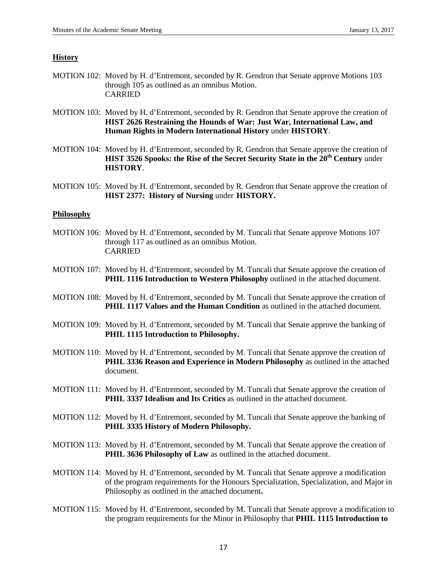### **History**

- MOTION 102: Moved by H. d'Entremont, seconded by R. Gendron that Senate approve Motions 103 through 105 as outlined as an omnibus Motion. CARRIED
- MOTION 103: Moved by H. d'Entremont, seconded by R. Gendron that Senate approve the creation of **HIST 2626 Restraining the Hounds of War: Just War, International Law, and Human Rights in Modern International History** under **HISTORY**.
- MOTION 104: Moved by H. d'Entremont, seconded by R. Gendron that Senate approve the creation of **HIST 3526 Spooks: the Rise of the Secret Security State in the 20th Century** under **HISTORY**.
- MOTION 105: Moved by H. d'Entremont, seconded by R. Gendron that Senate approve the creation of **HIST 2377: History of Nursing** under **HISTORY.**

### **Philosophy**

- MOTION 106: Moved by H. d'Entremont, seconded by M. Tuncali that Senate approve Motions 107 through 117 as outlined as an omnibus Motion. CARRIED
- MOTION 107: Moved by H. d'Entremont, seconded by M. Tuncali that Senate approve the creation of **PHIL 1116 Introduction to Western Philosophy** outlined in the attached document.
- MOTION 108: Moved by H. d'Entremont, seconded by M. Tuncali that Senate approve the creation of **PHIL 1117 Values and the Human Condition** as outlined in the attached document.
- MOTION 109: Moved by H. d'Entremont, seconded by M. Tuncali that Senate approve the banking of **PHIL 1115 Introduction to Philosophy.**
- MOTION 110: Moved by H. d'Entremont, seconded by M. Tuncali that Senate approve the creation of **PHIL 3336 Reason and Experience in Modern Philosophy** as outlined in the attached document.
- MOTION 111: Moved by H. d'Entremont, seconded by M. Tuncali that Senate approve the creation of **PHIL 3337 Idealism and Its Critics** as outlined in the attached document.
- MOTION 112: Moved by H. d'Entremont, seconded by M. Tuncali that Senate approve the banking of **PHIL 3335 History of Modern Philosophy.**
- MOTION 113: Moved by H. d'Entremont, seconded by M. Tuncali that Senate approve the creation of **PHIL 3636 Philosophy of Law** as outlined in the attached document.
- MOTION 114: Moved by H. d'Entremont, seconded by M. Tuncali that Senate approve a modification of the program requirements for the Honours Specialization, Specialization, and Major in Philosophy as outlined in the attached document**.**
- MOTION 115: Moved by H. d'Entremont, seconded by M. Tuncali that Senate approve a modification to the program requirements for the Minor in Philosophy that **PHIL 1115 Introduction to**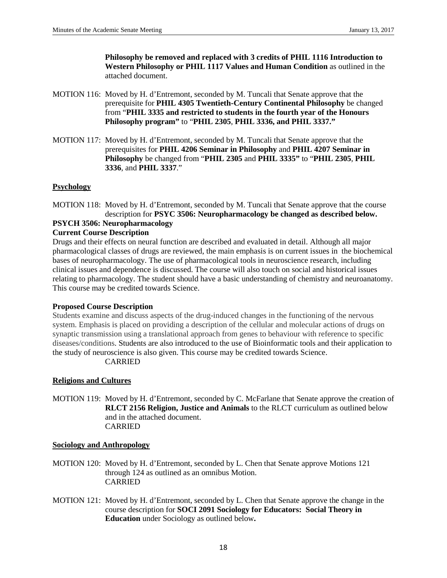**Philosophy be removed and replaced with 3 credits of PHIL 1116 Introduction to Western Philosophy or PHIL 1117 Values and Human Condition** as outlined in the attached document.

- MOTION 116: Moved by H. d'Entremont, seconded by M. Tuncali that Senate approve that the prerequisite for **PHIL 4305 Twentieth-Century Continental Philosophy** be changed from "**PHIL 3335 and restricted to students in the fourth year of the Honours Philosophy program"** to "**PHIL 2305**, **PHIL 3336, and PHIL 3337."**
- MOTION 117: Moved by H. d'Entremont, seconded by M. Tuncali that Senate approve that the prerequisites for **PHIL 4206 Seminar in Philosophy** and **PHIL 4207 Seminar in Philosophy** be changed from "**PHIL 2305** and **PHIL 3335"** to "**PHIL 2305**, **PHIL 3336**, and **PHIL 3337**."

# **Psychology**

MOTION 118: Moved by H. d'Entremont, seconded by M. Tuncali that Senate approve that the course description for **PSYC 3506: Neuropharmacology be changed as described below.**

### **PSYCH 3506: Neuropharmacology Current Course Description**

Drugs and their effects on neural function are described and evaluated in detail. Although all major pharmacological classes of drugs are reviewed, the main emphasis is on current issues in the biochemical bases of neuropharmacology. The use of pharmacological tools in neuroscience research, including clinical issues and dependence is discussed. The course will also touch on social and historical issues relating to pharmacology. The student should have a basic understanding of chemistry and neuroanatomy. This course may be credited towards Science.

### **Proposed Course Description**

Students examine and discuss aspects of the drug-induced changes in the functioning of the nervous system. Emphasis is placed on providing a description of the cellular and molecular actions of drugs on synaptic transmission using a translational approach from genes to behaviour with reference to specific diseases/conditions. Students are also introduced to the use of Bioinformatic tools and their application to the study of neuroscience is also given. This course may be credited towards Science. CARRIED

# **Religions and Cultures**

MOTION 119: Moved by H. d'Entremont, seconded by C. McFarlane that Senate approve the creation of **RLCT 2156 Religion, Justice and Animals** to the RLCT curriculum as outlined below and in the attached document. CARRIED

### **Sociology and Anthropology**

- MOTION 120: Moved by H. d'Entremont, seconded by L. Chen that Senate approve Motions 121 through 124 as outlined as an omnibus Motion. CARRIED
- MOTION 121: Moved by H. d'Entremont, seconded by L. Chen that Senate approve the change in the course description for **SOCI 2091 Sociology for Educators: Social Theory in Education** under Sociology as outlined below**.**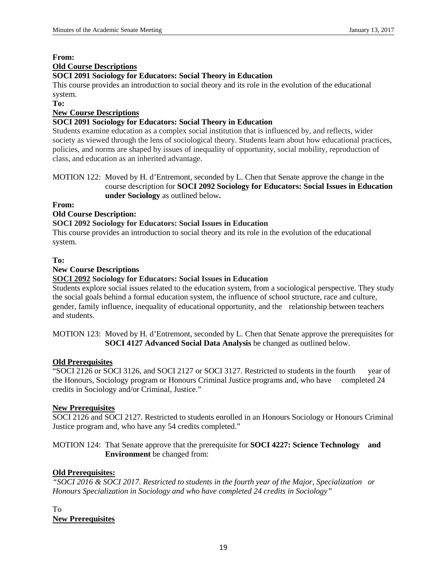# **From: Old Course Descriptions**

# **SOCI 2091 Sociology for Educators: Social Theory in Education**

This course provides an introduction to social theory and its role in the evolution of the educational system.

**To:**

# **New Course Descriptions**

# **SOCI 2091 Sociology for Educators: Social Theory in Education**

Students examine education as a complex social institution that is influenced by, and reflects, wider society as viewed through the lens of sociological theory. Students learn about how educational practices, policies, and norms are shaped by issues of inequality of opportunity, social mobility, reproduction of class, and education as an inherited advantage.

MOTION 122: Moved by H. d'Entremont, seconded by L. Chen that Senate approve the change in the course description for **SOCI 2092 Sociology for Educators: Social Issues in Education under Sociology** as outlined below**.**

**From:**

# **Old Course Description:**

# **SOCI 2092 Sociology for Educators: Social Issues in Education**

This course provides an introduction to social theory and its role in the evolution of the educational system.

# **To:**

# **New Course Descriptions**

# **SOCI 2092 Sociology for Educators: Social Issues in Education**

Students explore social issues related to the education system, from a sociological perspective. They study the social goals behind a formal education system, the influence of school structure, race and culture, gender, family influence, inequality of educational opportunity, and the relationship between teachers and students.

MOTION 123: Moved by H. d'Entremont, seconded by L. Chen that Senate approve the prerequisites for **SOCI 4127 Advanced Social Data Analysis** be changed as outlined below.

# **Old Prerequisites**

"SOCI 2126 or SOCI 3126, and SOCI 2127 or SOCI 3127. Restricted to students in the fourth year of the Honours, Sociology program or Honours Criminal Justice programs and, who have completed 24 credits in Sociology and/or Criminal, Justice."

# **New Prerequisites**

SOCI 2126 and SOCI 2127. Restricted to students enrolled in an Honours Sociology or Honours Criminal Justice program and, who have any 54 credits completed."

MOTION 124: That Senate approve that the prerequisite for **SOCI 4227: Science Technology and Environment** be changed from:

# **Old Prerequisites:**

*"SOCI 2016 & SOCI 2017. Restricted to students in the fourth year of the Major, Specialization or Honours Specialization in Sociology and who have completed 24 credits in Sociology"*

# To **New Prerequisites**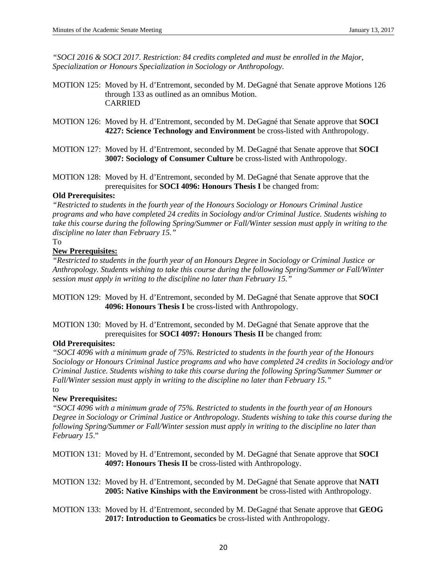*"SOCI 2016 & SOCI 2017. Restriction: 84 credits completed and must be enrolled in the Major, Specialization or Honours Specialization in Sociology or Anthropology.* 

- MOTION 125: Moved by H. d'Entremont, seconded by M. DeGagné that Senate approve Motions 126 through 133 as outlined as an omnibus Motion. CARRIED
- MOTION 126: Moved by H. d'Entremont, seconded by M. DeGagné that Senate approve that **SOCI 4227: Science Technology and Environment** be cross-listed with Anthropology.
- MOTION 127: Moved by H. d'Entremont, seconded by M. DeGagné that Senate approve that **SOCI 3007: Sociology of Consumer Culture** be cross-listed with Anthropology.
- MOTION 128: Moved by H. d'Entremont, seconded by M. DeGagné that Senate approve that the prerequisites for **SOCI 4096: Honours Thesis I** be changed from:

### **Old Prerequisites:**

*"Restricted to students in the fourth year of the Honours Sociology or Honours Criminal Justice programs and who have completed 24 credits in Sociology and/or Criminal Justice. Students wishing to take this course during the following Spring/Summer or Fall/Winter session must apply in writing to the discipline no later than February 15."*

# To

# **New Prerequisites:**

*"Restricted to students in the fourth year of an Honours Degree in Sociology or Criminal Justice or Anthropology. Students wishing to take this course during the following Spring/Summer or Fall/Winter session must apply in writing to the discipline no later than February 15."*

MOTION 129: Moved by H. d'Entremont, seconded by M. DeGagné that Senate approve that **SOCI 4096: Honours Thesis I** be cross-listed with Anthropology.

MOTION 130: Moved by H. d'Entremont, seconded by M. DeGagné that Senate approve that the prerequisites for **SOCI 4097: Honours Thesis II** be changed from:

# **Old Prerequisites:**

*"SOCI 4096 with a minimum grade of 75%. Restricted to students in the fourth year of the Honours Sociology or Honours Criminal Justice programs and who have completed 24 credits in Sociology and/or Criminal Justice. Students wishing to take this course during the following Spring/Summer Summer or Fall/Winter session must apply in writing to the discipline no later than February 15."*

### to

# **New Prerequisites:**

*"SOCI 4096 with a minimum grade of 75%. Restricted to students in the fourth year of an Honours Degree in Sociology or Criminal Justice or Anthropology. Students wishing to take this course during the following Spring/Summer or Fall/Winter session must apply in writing to the discipline no later than February 15*."

- MOTION 131: Moved by H. d'Entremont, seconded by M. DeGagné that Senate approve that **SOCI 4097: Honours Thesis II** be cross-listed with Anthropology.
- MOTION 132: Moved by H. d'Entremont, seconded by M. DeGagné that Senate approve that **NATI 2005: Native Kinships with the Environment** be cross-listed with Anthropology.
- MOTION 133: Moved by H. d'Entremont, seconded by M. DeGagné that Senate approve that **GEOG 2017: Introduction to Geomatics** be cross-listed with Anthropology.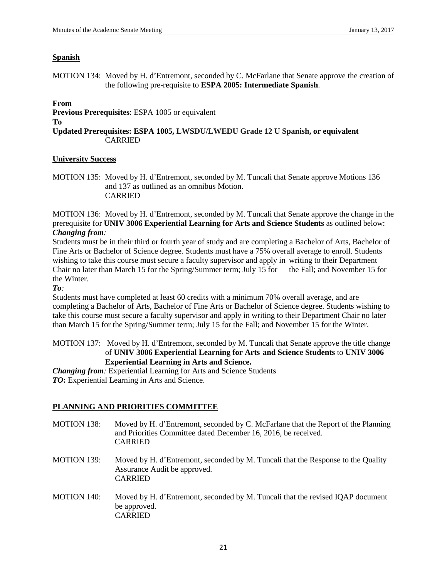### **Spanish**

MOTION 134: Moved by H. d'Entremont, seconded by C. McFarlane that Senate approve the creation of the following pre-requisite to **ESPA 2005: Intermediate Spanish**.

### **From**

**Previous Prerequisites**: ESPA 1005 or equivalent

#### **To**

**Updated Prerequisites: ESPA 1005, LWSDU/LWEDU Grade 12 U Spanish, or equivalent** CARRIED

### **University Success**

MOTION 135: Moved by H. d'Entremont, seconded by M. Tuncali that Senate approve Motions 136 and 137 as outlined as an omnibus Motion. CARRIED

MOTION 136: Moved by H. d'Entremont, seconded by M. Tuncali that Senate approve the change in the prerequisite for **UNIV 3006 Experiential Learning for Arts and Science Students** as outlined below: *Changing from:*

Students must be in their third or fourth year of study and are completing a Bachelor of Arts, Bachelor of Fine Arts or Bachelor of Science degree. Students must have a 75% overall average to enroll. Students wishing to take this course must secure a faculty supervisor and apply in writing to their Department Chair no later than March 15 for the Spring/Summer term; July 15 for the Fall; and November 15 for the Winter.

*To:*

Students must have completed at least 60 credits with a minimum 70% overall average, and are completing a Bachelor of Arts, Bachelor of Fine Arts or Bachelor of Science degree. Students wishing to take this course must secure a faculty supervisor and apply in writing to their Department Chair no later than March 15 for the Spring/Summer term; July 15 for the Fall; and November 15 for the Winter.

## MOTION 137: Moved by H. d'Entremont, seconded by M. Tuncali that Senate approve the title change of **UNIV 3006 Experiential Learning for Arts and Science Students** to **UNIV 3006 Experiential Learning in Arts and Science.**

*Changing from:* Experiential Learning for Arts and Science Students *TO***:** Experiential Learning in Arts and Science.

# **PLANNING AND PRIORITIES COMMITTEE**

- MOTION 138: Moved by H. d'Entremont, seconded by C. McFarlane that the Report of the Planning and Priorities Committee dated December 16, 2016, be received. CARRIED
- MOTION 139: Moved by H. d'Entremont, seconded by M. Tuncali that the Response to the Quality Assurance Audit be approved. CARRIED
- MOTION 140: Moved by H. d'Entremont, seconded by M. Tuncali that the revised IQAP document be approved. CARRIED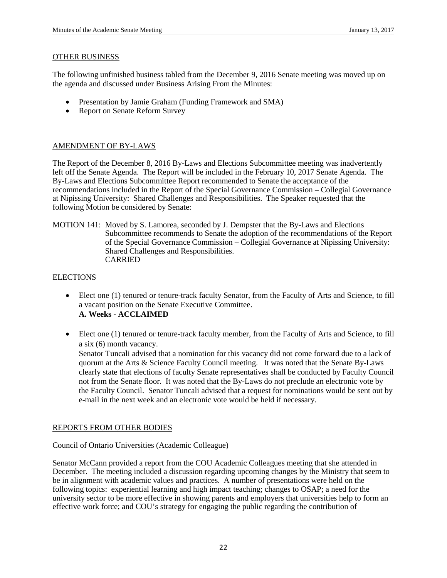### OTHER BUSINESS

The following unfinished business tabled from the December 9, 2016 Senate meeting was moved up on the agenda and discussed under Business Arising From the Minutes:

- Presentation by Jamie Graham (Funding Framework and SMA)
- Report on Senate Reform Survey

# AMENDMENT OF BY-LAWS

The Report of the December 8, 2016 By-Laws and Elections Subcommittee meeting was inadvertently left off the Senate Agenda. The Report will be included in the February 10, 2017 Senate Agenda. The By-Laws and Elections Subcommittee Report recommended to Senate the acceptance of the recommendations included in the Report of the Special Governance Commission – Collegial Governance at Nipissing University: Shared Challenges and Responsibilities. The Speaker requested that the following Motion be considered by Senate:

MOTION 141: Moved by S. Lamorea, seconded by J. Dempster that the By-Laws and Elections Subcommittee recommends to Senate the adoption of the recommendations of the Report of the Special Governance Commission – Collegial Governance at Nipissing University: Shared Challenges and Responsibilities. CARRIED

# **ELECTIONS**

- Elect one (1) tenured or tenure-track faculty Senator, from the Faculty of Arts and Science, to fill a vacant position on the Senate Executive Committee. **A. Weeks - ACCLAIMED**
- Elect one (1) tenured or tenure-track faculty member, from the Faculty of Arts and Science, to fill a six (6) month vacancy.

Senator Tuncali advised that a nomination for this vacancy did not come forward due to a lack of quorum at the Arts & Science Faculty Council meeting. It was noted that the Senate By-Laws clearly state that elections of faculty Senate representatives shall be conducted by Faculty Council not from the Senate floor. It was noted that the By-Laws do not preclude an electronic vote by the Faculty Council. Senator Tuncali advised that a request for nominations would be sent out by e-mail in the next week and an electronic vote would be held if necessary.

# REPORTS FROM OTHER BODIES

# Council of Ontario Universities (Academic Colleague)

Senator McCann provided a report from the COU Academic Colleagues meeting that she attended in December. The meeting included a discussion regarding upcoming changes by the Ministry that seem to be in alignment with academic values and practices. A number of presentations were held on the following topics: experiential learning and high impact teaching; changes to OSAP; a need for the university sector to be more effective in showing parents and employers that universities help to form an effective work force; and COU's strategy for engaging the public regarding the contribution of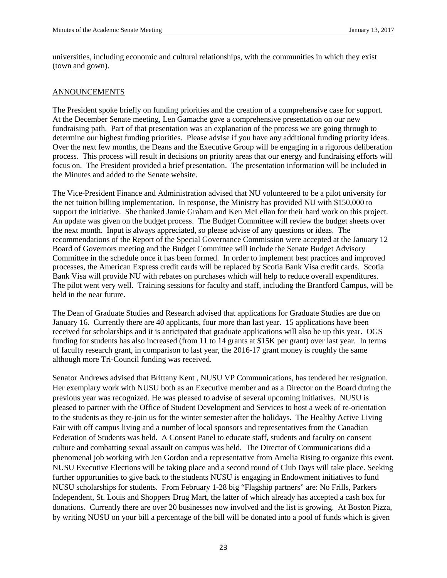universities, including economic and cultural relationships, with the communities in which they exist (town and gown).

# ANNOUNCEMENTS

The President spoke briefly on funding priorities and the creation of a comprehensive case for support. At the December Senate meeting, Len Gamache gave a comprehensive presentation on our new fundraising path. Part of that presentation was an explanation of the process we are going through to determine our highest funding priorities. Please advise if you have any additional funding priority ideas. Over the next few months, the Deans and the Executive Group will be engaging in a rigorous deliberation process. This process will result in decisions on priority areas that our energy and fundraising efforts will focus on. The President provided a brief presentation. The presentation information will be included in the Minutes and added to the Senate website.

The Vice-President Finance and Administration advised that NU volunteered to be a pilot university for the net tuition billing implementation. In response, the Ministry has provided NU with \$150,000 to support the initiative. She thanked Jamie Graham and Ken McLellan for their hard work on this project. An update was given on the budget process. The Budget Committee will review the budget sheets over the next month. Input is always appreciated, so please advise of any questions or ideas. The recommendations of the Report of the Special Governance Commission were accepted at the January 12 Board of Governors meeting and the Budget Committee will include the Senate Budget Advisory Committee in the schedule once it has been formed. In order to implement best practices and improved processes, the American Express credit cards will be replaced by Scotia Bank Visa credit cards. Scotia Bank Visa will provide NU with rebates on purchases which will help to reduce overall expenditures. The pilot went very well. Training sessions for faculty and staff, including the Brantford Campus, will be held in the near future.

The Dean of Graduate Studies and Research advised that applications for Graduate Studies are due on January 16. Currently there are 40 applicants, four more than last year. 15 applications have been received for scholarships and it is anticipated that graduate applications will also be up this year. OGS funding for students has also increased (from 11 to 14 grants at \$15K per grant) over last year. In terms of faculty research grant, in comparison to last year, the 2016-17 grant money is roughly the same although more Tri-Council funding was received.

Senator Andrews advised that Brittany Kent , NUSU VP Communications, has tendered her resignation. Her exemplary work with NUSU both as an Executive member and as a Director on the Board during the previous year was recognized. He was pleased to advise of several upcoming initiatives. NUSU is pleased to partner with the Office of Student Development and Services to host a week of re-orientation to the students as they re-join us for the winter semester after the holidays. The Healthy Active Living Fair with off campus living and a number of local sponsors and representatives from the Canadian Federation of Students was held. A Consent Panel to educate staff, students and faculty on consent culture and combatting sexual assault on campus was held. The Director of Communications did a phenomenal job working with Jen Gordon and a representative from Amelia Rising to organize this event. NUSU Executive Elections will be taking place and a second round of Club Days will take place. Seeking further opportunities to give back to the students NUSU is engaging in Endowment initiatives to fund NUSU scholarships for students. From February 1-28 big "Flagship partners" are: No Frills, Parkers Independent, St. Louis and Shoppers Drug Mart, the latter of which already has accepted a cash box for donations. Currently there are over 20 businesses now involved and the list is growing. At Boston Pizza, by writing NUSU on your bill a percentage of the bill will be donated into a pool of funds which is given